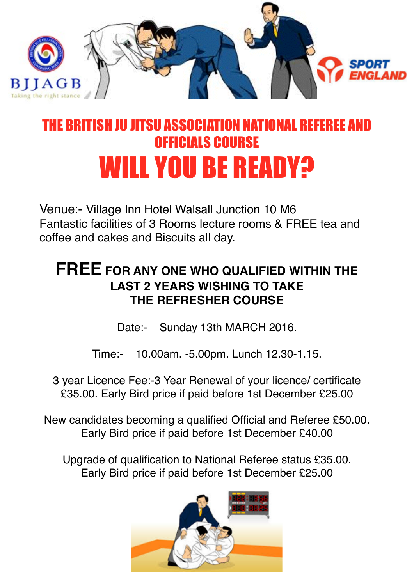

## HE BRITISH III IITSII ASSOCIATION NATIONAL REFERFE AND OFFICIALS COURSE WILL YOU BE READY?

Venue:- Village Inn Hotel Walsall Junction 10 M6 Fantastic facilities of 3 Rooms lecture rooms & FREE tea and coffee and cakes and Biscuits all day.

## **FREE FOR ANY ONE WHO QUALIFIED WITHIN THE LAST 2 YEARS WISHING TO TAKE THE REFRESHER COURSE**

Date:- Sunday 13th MARCH 2016.

Time:- 10.00am. -5.00pm. Lunch 12.30-1.15.

3 year Licence Fee:-3 Year Renewal of your licence/ certificate £35.00. Early Bird price if paid before 1st December £25.00

New candidates becoming a qualified Official and Referee £50.00. Early Bird price if paid before 1st December £40.00

Upgrade of qualification to National Referee status £35.00. Early Bird price if paid before 1st December £25.00